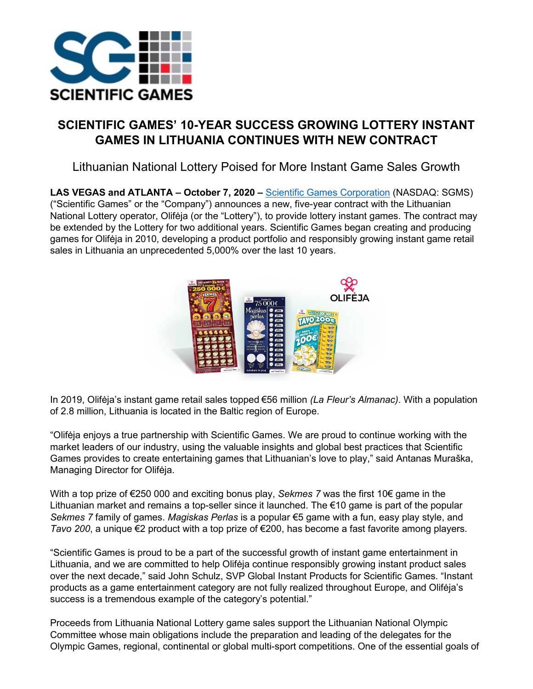

## **SCIENTIFIC GAMES' 10-YEAR SUCCESS GROWING LOTTERY INSTANT GAMES IN LITHUANIA CONTINUES WITH NEW CONTRACT**

Lithuanian National Lottery Poised for More Instant Game Sales Growth

**LAS VEGAS and ATLANTA – October 7, 2020 –** [Scientific Games Corporation](https://nam02.safelinks.protection.outlook.com/?url=https%3A%2F%2Fu7061146.ct.sendgrid.net%2Fls%2Fclick%3Fupn%3DTeZUXWpUv-2B6TCY38pVLo9hLrEA3enjL9b5ncoIFyl23DGjU-2FxiLAiHcd2WQXRRESKVvJ_IV4x5SShmRN3iVDkbvLI8ARXqdzPb5qvUaruLZhH2pytmf83DBXy2cOzGlxrJxp3usx0uPklt1vxQ54Ltt6Fw1cuv6Uv0aXX2LGZC2T7p-2FKE9m2uYq-2FKffvIwtQG4L47IfekLuSuEyaK1xuOhDxeWSWu3Cn8dJtyQD2X1HzaLnmsETSRncsyNO4rEfE2DnkEJkQoayIQdEF2NmoNoe0vBHvg-2FiNqu5CJaN2Qtmc-2B4k7M-2FXyudtvFvuQX1lCaIMuHjZ5gO5wSBI1Qa2gAitAbTHE3dzYqqOx7wAhB1bxvxF5jbq7c8-2FNaynR-2B0sGEiXdQlrzHDZmdK-2FdULBHf7d8ZzAWE4KdC8fbdGSwv4quogpkD-2FIJ4u8wvv4REag8hHSH7&data=02%7C01%7CJudy.Sandgren%40scientificgames.com%7Cca4b42772649493667c408d86aebee81%7Cb9d2c79d8655430e8cbbd458178fd6b8%7C0%7C0%7C637376908834989372&sdata=5WtOjos33e%2FqmrcyNM6xRaubV51%2B2iSf1M3B1qvnT24%3D&reserved=0) (NASDAQ: SGMS) ("Scientific Games" or the "Company") announces a new, five-year contract with the Lithuanian National Lottery operator, Olifėja (or the "Lottery"), to provide lottery instant games. The contract may be extended by the Lottery for two additional years. Scientific Games began creating and producing games for Olifėja in 2010, developing a product portfolio and responsibly growing instant game retail sales in Lithuania an unprecedented 5,000% over the last 10 years.



In 2019, Olifėja's instant game retail sales topped €56 million *(La Fleur's Almanac)*. With a population of 2.8 million, Lithuania is located in the Baltic region of Europe.

"Olifėja enjoys a true partnership with Scientific Games. We are proud to continue working with the market leaders of our industry, using the valuable insights and global best practices that Scientific Games provides to create entertaining games that Lithuanian's love to play," said Antanas Muraška, Managing Director for Olifėja.

With a top prize of €250 000 and exciting bonus play, *Sekmes 7* was the first 10€ game in the Lithuanian market and remains a top-seller since it launched. The €10 game is part of the popular *Sekmes 7* family of games. *Magiskas Perlas* is a popular €5 game with a fun, easy play style, and *Tavo 200*, a unique €2 product with a top prize of €200, has become a fast favorite among players.

"Scientific Games is proud to be a part of the successful growth of instant game entertainment in Lithuania, and we are committed to help Olifėja continue responsibly growing instant product sales over the next decade," said John Schulz, SVP Global Instant Products for Scientific Games. "Instant products as a game entertainment category are not fully realized throughout Europe, and Olifėja's success is a tremendous example of the category's potential."

Proceeds from Lithuania National Lottery game sales support the Lithuanian National Olympic Committee whose main obligations include the preparation and leading of the delegates for the Olympic Games, regional, continental or global multi-sport competitions. One of the essential goals of